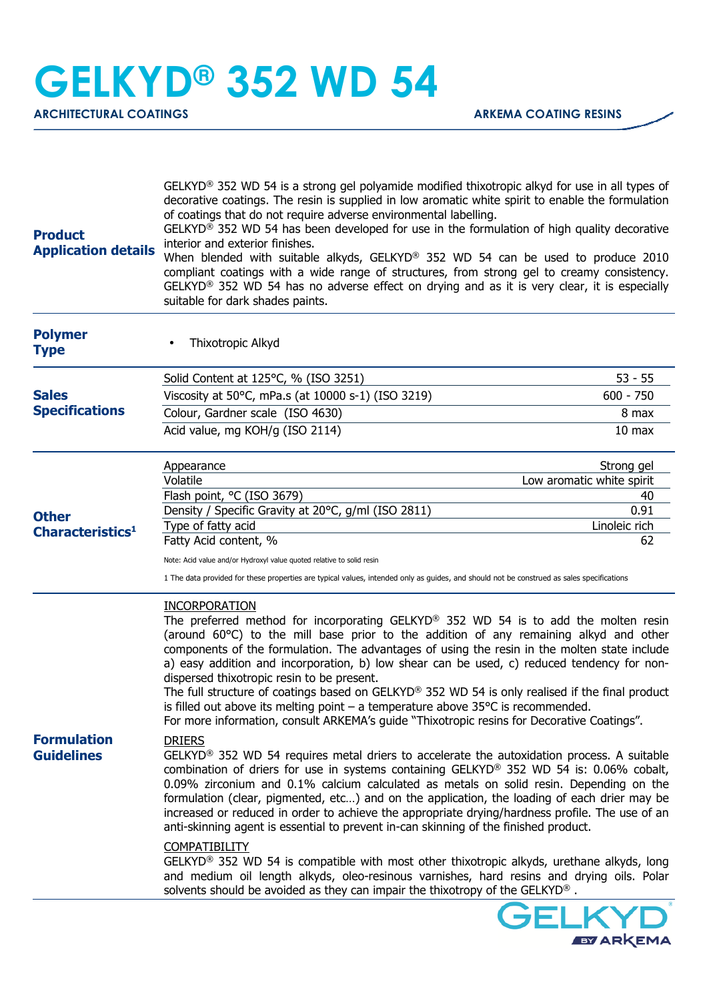**EVARKEMA** 

| <b>Product</b><br><b>Application details</b>       | GELKYD <sup>®</sup> 352 WD 54 is a strong gel polyamide modified thixotropic alkyd for use in all types of<br>decorative coatings. The resin is supplied in low aromatic white spirit to enable the formulation<br>of coatings that do not require adverse environmental labelling.<br>GELKYD® 352 WD 54 has been developed for use in the formulation of high quality decorative<br>interior and exterior finishes.<br>When blended with suitable alkyds, GELKYD® 352 WD 54 can be used to produce 2010<br>compliant coatings with a wide range of structures, from strong gel to creamy consistency.<br>GELKYD <sup>®</sup> 352 WD 54 has no adverse effect on drying and as it is very clear, it is especially<br>suitable for dark shades paints.         |                           |
|----------------------------------------------------|---------------------------------------------------------------------------------------------------------------------------------------------------------------------------------------------------------------------------------------------------------------------------------------------------------------------------------------------------------------------------------------------------------------------------------------------------------------------------------------------------------------------------------------------------------------------------------------------------------------------------------------------------------------------------------------------------------------------------------------------------------------|---------------------------|
| <b>Polymer</b><br><b>Type</b>                      | Thixotropic Alkyd                                                                                                                                                                                                                                                                                                                                                                                                                                                                                                                                                                                                                                                                                                                                             |                           |
| <b>Sales</b><br><b>Specifications</b>              | Solid Content at 125°C, % (ISO 3251)                                                                                                                                                                                                                                                                                                                                                                                                                                                                                                                                                                                                                                                                                                                          | $53 - 55$                 |
|                                                    | Viscosity at 50°C, mPa.s (at 10000 s-1) (ISO 3219)                                                                                                                                                                                                                                                                                                                                                                                                                                                                                                                                                                                                                                                                                                            | $600 - 750$               |
|                                                    | Colour, Gardner scale (ISO 4630)                                                                                                                                                                                                                                                                                                                                                                                                                                                                                                                                                                                                                                                                                                                              | 8 max                     |
|                                                    | Acid value, mg KOH/g (ISO 2114)                                                                                                                                                                                                                                                                                                                                                                                                                                                                                                                                                                                                                                                                                                                               | 10 <sub>max</sub>         |
| <b>Other</b><br><b>Characteristics<sup>1</sup></b> | Appearance                                                                                                                                                                                                                                                                                                                                                                                                                                                                                                                                                                                                                                                                                                                                                    | Strong gel                |
|                                                    | Volatile                                                                                                                                                                                                                                                                                                                                                                                                                                                                                                                                                                                                                                                                                                                                                      | Low aromatic white spirit |
|                                                    | Flash point, °C (ISO 3679)                                                                                                                                                                                                                                                                                                                                                                                                                                                                                                                                                                                                                                                                                                                                    | 40                        |
|                                                    | Density / Specific Gravity at 20°C, g/ml (ISO 2811)<br>Type of fatty acid                                                                                                                                                                                                                                                                                                                                                                                                                                                                                                                                                                                                                                                                                     | 0.91<br>Linoleic rich     |
|                                                    | Fatty Acid content, %                                                                                                                                                                                                                                                                                                                                                                                                                                                                                                                                                                                                                                                                                                                                         | 62                        |
|                                                    | Note: Acid value and/or Hydroxyl value quoted relative to solid resin                                                                                                                                                                                                                                                                                                                                                                                                                                                                                                                                                                                                                                                                                         |                           |
|                                                    | 1 The data provided for these properties are typical values, intended only as guides, and should not be construed as sales specifications                                                                                                                                                                                                                                                                                                                                                                                                                                                                                                                                                                                                                     |                           |
| <b>Formulation</b><br><b>Guidelines</b>            | <b>INCORPORATION</b><br>The preferred method for incorporating GELKYD <sup>®</sup> 352 WD 54 is to add the molten resin<br>(around 60°C) to the mill base prior to the addition of any remaining alkyd and other<br>components of the formulation. The advantages of using the resin in the molten state include<br>a) easy addition and incorporation, b) low shear can be used, c) reduced tendency for non-<br>dispersed thixotropic resin to be present.<br>The full structure of coatings based on GELKYD® 352 WD 54 is only realised if the final product<br>is filled out above its melting point $-$ a temperature above $35^{\circ}$ C is recommended.<br>For more information, consult ARKEMA's guide "Thixotropic resins for Decorative Coatings". |                           |
|                                                    | <b>DRIERS</b><br>GELKYD <sup>®</sup> 352 WD 54 requires metal driers to accelerate the autoxidation process. A suitable<br>combination of driers for use in systems containing GELKYD® 352 WD 54 is: 0.06% cobalt,<br>0.09% zirconium and 0.1% calcium calculated as metals on solid resin. Depending on the<br>formulation (clear, pigmented, etc) and on the application, the loading of each drier may be<br>increased or reduced in order to achieve the appropriate drying/hardness profile. The use of an<br>anti-skinning agent is essential to prevent in-can skinning of the finished product.<br><b>COMPATIBILITY</b>                                                                                                                               |                           |
|                                                    | GELKYD <sup>®</sup> 352 WD 54 is compatible with most other thixotropic alkyds, urethane alkyds, long<br>and medium oil length alkyds, oleo-resinous varnishes, hard resins and drying oils. Polar<br>solvents should be avoided as they can impair the thixotropy of the GELKYD <sup>®</sup> .                                                                                                                                                                                                                                                                                                                                                                                                                                                               |                           |
|                                                    |                                                                                                                                                                                                                                                                                                                                                                                                                                                                                                                                                                                                                                                                                                                                                               | <b>GELKYD'</b>            |